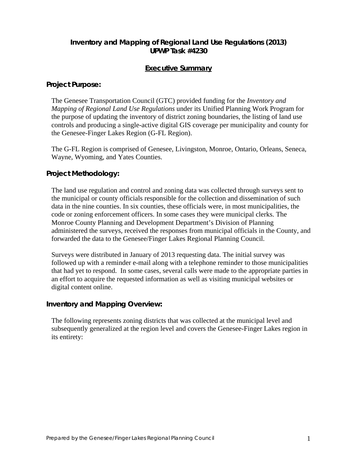# **Inventory and Mapping of Regional Land Use Regulations (2013) UPWP Task #4230**

### **Executive Summary**

#### **Project Purpose:**

The Genesee Transportation Council (GTC) provided funding for the *Inventory and Mapping of Regional Land Use Regulations* under its Unified Planning Work Program for the purpose of updating the inventory of district zoning boundaries, the listing of land use controls and producing a single-active digital GIS coverage per municipality and county for the Genesee-Finger Lakes Region (G-FL Region).

The G-FL Region is comprised of Genesee, Livingston, Monroe, Ontario, Orleans, Seneca, Wayne, Wyoming, and Yates Counties.

#### **Project Methodology:**

The land use regulation and control and zoning data was collected through surveys sent to the municipal or county officials responsible for the collection and dissemination of such data in the nine counties. In six counties, these officials were, in most municipalities, the code or zoning enforcement officers. In some cases they were municipal clerks. The Monroe County Planning and Development Department's Division of Planning administered the surveys, received the responses from municipal officials in the County, and forwarded the data to the Genesee/Finger Lakes Regional Planning Council.

Surveys were distributed in January of 2013 requesting data. The initial survey was followed up with a reminder e-mail along with a telephone reminder to those municipalities that had yet to respond. In some cases, several calls were made to the appropriate parties in an effort to acquire the requested information as well as visiting municipal websites or digital content online.

## **Inventory and Mapping Overview:**

The following represents zoning districts that was collected at the municipal level and subsequently generalized at the region level and covers the Genesee-Finger Lakes region in its entirety: